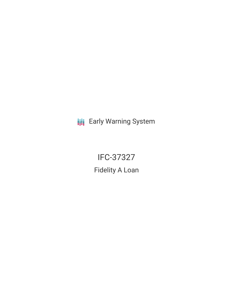**III** Early Warning System

IFC-37327 Fidelity A Loan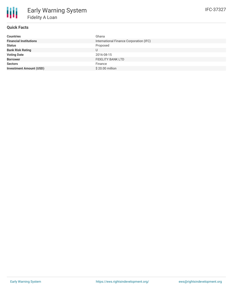| Ghana                                   |
|-----------------------------------------|
| International Finance Corporation (IFC) |
| Proposed                                |
| U                                       |
| 2016-08-15                              |
| <b>FIDELITY BANK LTD</b>                |
| Finance                                 |
| \$20.00 million                         |
|                                         |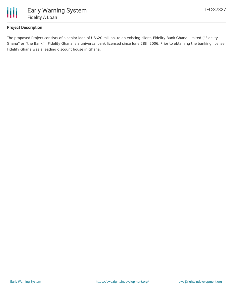

## **Project Description**

The proposed Project consists of a senior loan of US\$20 million, to an existing client, Fidelity Bank Ghana Limited ("Fidelity Ghana" or "the Bank"). Fidelity Ghana is a universal bank licensed since June 28th 2006. Prior to obtaining the banking license, Fidelity Ghana was a leading discount house in Ghana.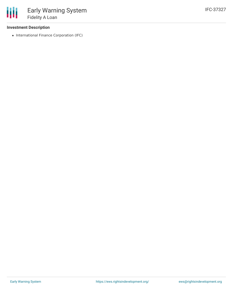## **Investment Description**

• International Finance Corporation (IFC)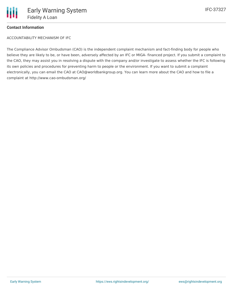## **Contact Information**

ACCOUNTABILITY MECHANISM OF IFC

The Compliance Advisor Ombudsman (CAO) is the independent complaint mechanism and fact-finding body for people who believe they are likely to be, or have been, adversely affected by an IFC or MIGA- financed project. If you submit a complaint to the CAO, they may assist you in resolving a dispute with the company and/or investigate to assess whether the IFC is following its own policies and procedures for preventing harm to people or the environment. If you want to submit a complaint electronically, you can email the CAO at CAO@worldbankgroup.org. You can learn more about the CAO and how to file a complaint at http://www.cao-ombudsman.org/